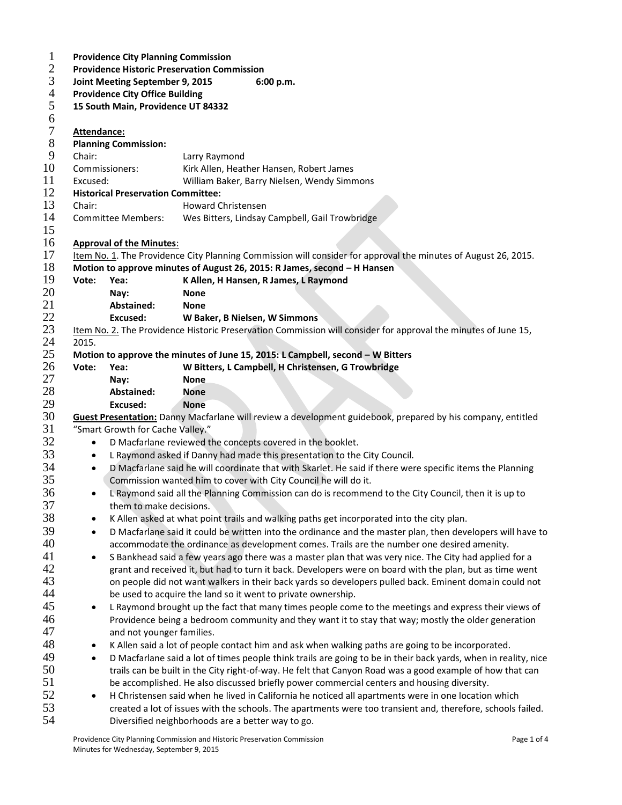| $\mathbf{1}$     |                                                                                                                  | <b>Providence City Planning Commission</b>                                                                      |                                                                                                                   |  |  |  |  |  |  |  |
|------------------|------------------------------------------------------------------------------------------------------------------|-----------------------------------------------------------------------------------------------------------------|-------------------------------------------------------------------------------------------------------------------|--|--|--|--|--|--|--|
| $\mathbf{2}$     |                                                                                                                  | <b>Providence Historic Preservation Commission</b>                                                              |                                                                                                                   |  |  |  |  |  |  |  |
| 3                |                                                                                                                  | Joint Meeting September 9, 2015<br>6:00 p.m.                                                                    |                                                                                                                   |  |  |  |  |  |  |  |
| 4                |                                                                                                                  | <b>Providence City Office Building</b>                                                                          |                                                                                                                   |  |  |  |  |  |  |  |
| 5                |                                                                                                                  | 15 South Main, Providence UT 84332                                                                              |                                                                                                                   |  |  |  |  |  |  |  |
| 6                |                                                                                                                  |                                                                                                                 |                                                                                                                   |  |  |  |  |  |  |  |
| $\boldsymbol{7}$ |                                                                                                                  | Attendance:                                                                                                     |                                                                                                                   |  |  |  |  |  |  |  |
| $8\,$            |                                                                                                                  | <b>Planning Commission:</b>                                                                                     |                                                                                                                   |  |  |  |  |  |  |  |
| 9                | Chair:                                                                                                           |                                                                                                                 | Larry Raymond                                                                                                     |  |  |  |  |  |  |  |
| 10               | Commissioners:                                                                                                   |                                                                                                                 | Kirk Allen, Heather Hansen, Robert James                                                                          |  |  |  |  |  |  |  |
| 11               | Excused:                                                                                                         |                                                                                                                 | William Baker, Barry Nielsen, Wendy Simmons                                                                       |  |  |  |  |  |  |  |
| 12               |                                                                                                                  | <b>Historical Preservation Committee:</b>                                                                       |                                                                                                                   |  |  |  |  |  |  |  |
| 13               | Chair:                                                                                                           |                                                                                                                 | Howard Christensen                                                                                                |  |  |  |  |  |  |  |
| 14               |                                                                                                                  | <b>Committee Members:</b>                                                                                       | Wes Bitters, Lindsay Campbell, Gail Trowbridge                                                                    |  |  |  |  |  |  |  |
| 15               |                                                                                                                  |                                                                                                                 |                                                                                                                   |  |  |  |  |  |  |  |
| 16<br>17         |                                                                                                                  | <b>Approval of the Minutes:</b>                                                                                 |                                                                                                                   |  |  |  |  |  |  |  |
| 18               |                                                                                                                  |                                                                                                                 | Item No. 1. The Providence City Planning Commission will consider for approval the minutes of August 26, 2015.    |  |  |  |  |  |  |  |
| 19               | Vote:                                                                                                            | Yea:                                                                                                            | Motion to approve minutes of August 26, 2015: R James, second - H Hansen<br>K Allen, H Hansen, R James, L Raymond |  |  |  |  |  |  |  |
| 20               |                                                                                                                  | Nay:                                                                                                            | <b>None</b>                                                                                                       |  |  |  |  |  |  |  |
| 21               |                                                                                                                  | Abstained:                                                                                                      | <b>None</b>                                                                                                       |  |  |  |  |  |  |  |
| 22               |                                                                                                                  | Excused:                                                                                                        | W Baker, B Nielsen, W Simmons                                                                                     |  |  |  |  |  |  |  |
| 23               |                                                                                                                  |                                                                                                                 | Item No. 2. The Providence Historic Preservation Commission will consider for approval the minutes of June 15,    |  |  |  |  |  |  |  |
| 24               | 2015.                                                                                                            |                                                                                                                 |                                                                                                                   |  |  |  |  |  |  |  |
| 25               |                                                                                                                  |                                                                                                                 | Motion to approve the minutes of June 15, 2015: L Campbell, second - W Bitters                                    |  |  |  |  |  |  |  |
| 26               | Vote:                                                                                                            | Yea:                                                                                                            | W Bitters, L Campbell, H Christensen, G Trowbridge                                                                |  |  |  |  |  |  |  |
| 27               |                                                                                                                  | Nay:                                                                                                            | <b>None</b>                                                                                                       |  |  |  |  |  |  |  |
| 28               |                                                                                                                  | Abstained:                                                                                                      | None                                                                                                              |  |  |  |  |  |  |  |
| 29               |                                                                                                                  | Excused:                                                                                                        | <b>None</b>                                                                                                       |  |  |  |  |  |  |  |
| 30               |                                                                                                                  |                                                                                                                 | Guest Presentation: Danny Macfarlane will review a development guidebook, prepared by his company, entitled       |  |  |  |  |  |  |  |
| 31               |                                                                                                                  | "Smart Growth for Cache Valley."                                                                                |                                                                                                                   |  |  |  |  |  |  |  |
| 32               | $\bullet$                                                                                                        |                                                                                                                 | D Macfarlane reviewed the concepts covered in the booklet.                                                        |  |  |  |  |  |  |  |
| 33               | $\bullet$                                                                                                        |                                                                                                                 | L Raymond asked if Danny had made this presentation to the City Council.                                          |  |  |  |  |  |  |  |
| 34               | $\bullet$                                                                                                        |                                                                                                                 | D Macfarlane said he will coordinate that with Skarlet. He said if there were specific items the Planning         |  |  |  |  |  |  |  |
| 35               |                                                                                                                  |                                                                                                                 | Commission wanted him to cover with City Council he will do it.                                                   |  |  |  |  |  |  |  |
| 36               | $\bullet$                                                                                                        |                                                                                                                 | L Raymond said all the Planning Commission can do is recommend to the City Council, then it is up to              |  |  |  |  |  |  |  |
| 37               |                                                                                                                  | them to make decisions.                                                                                         |                                                                                                                   |  |  |  |  |  |  |  |
| 38               | $\bullet$                                                                                                        |                                                                                                                 | K Allen asked at what point trails and walking paths get incorporated into the city plan.                         |  |  |  |  |  |  |  |
| 39               | $\bullet$                                                                                                        | D Macfarlane said it could be written into the ordinance and the master plan, then developers will have to      |                                                                                                                   |  |  |  |  |  |  |  |
| 40               |                                                                                                                  | accommodate the ordinance as development comes. Trails are the number one desired amenity.                      |                                                                                                                   |  |  |  |  |  |  |  |
| 41               | ٠                                                                                                                | S Bankhead said a few years ago there was a master plan that was very nice. The City had applied for a          |                                                                                                                   |  |  |  |  |  |  |  |
| 42               |                                                                                                                  | grant and received it, but had to turn it back. Developers were on board with the plan, but as time went        |                                                                                                                   |  |  |  |  |  |  |  |
| 43               |                                                                                                                  | on people did not want walkers in their back yards so developers pulled back. Eminent domain could not          |                                                                                                                   |  |  |  |  |  |  |  |
| 44               |                                                                                                                  | be used to acquire the land so it went to private ownership.                                                    |                                                                                                                   |  |  |  |  |  |  |  |
| 45               | ٠                                                                                                                | L Raymond brought up the fact that many times people come to the meetings and express their views of            |                                                                                                                   |  |  |  |  |  |  |  |
| 46               |                                                                                                                  | Providence being a bedroom community and they want it to stay that way; mostly the older generation             |                                                                                                                   |  |  |  |  |  |  |  |
| 47               |                                                                                                                  | and not younger families.                                                                                       |                                                                                                                   |  |  |  |  |  |  |  |
| 48               | ٠                                                                                                                | K Allen said a lot of people contact him and ask when walking paths are going to be incorporated.               |                                                                                                                   |  |  |  |  |  |  |  |
| 49               | $\bullet$                                                                                                        | D Macfarlane said a lot of times people think trails are going to be in their back yards, when in reality, nice |                                                                                                                   |  |  |  |  |  |  |  |
| 50               |                                                                                                                  | trails can be built in the City right-of-way. He felt that Canyon Road was a good example of how that can       |                                                                                                                   |  |  |  |  |  |  |  |
| 51               |                                                                                                                  | be accomplished. He also discussed briefly power commercial centers and housing diversity.                      |                                                                                                                   |  |  |  |  |  |  |  |
| 52               | H Christensen said when he lived in California he noticed all apartments were in one location which<br>$\bullet$ |                                                                                                                 |                                                                                                                   |  |  |  |  |  |  |  |
| 53               | created a lot of issues with the schools. The apartments were too transient and, therefore, schools failed.      |                                                                                                                 |                                                                                                                   |  |  |  |  |  |  |  |
| 54               |                                                                                                                  | Diversified neighborhoods are a better way to go.                                                               |                                                                                                                   |  |  |  |  |  |  |  |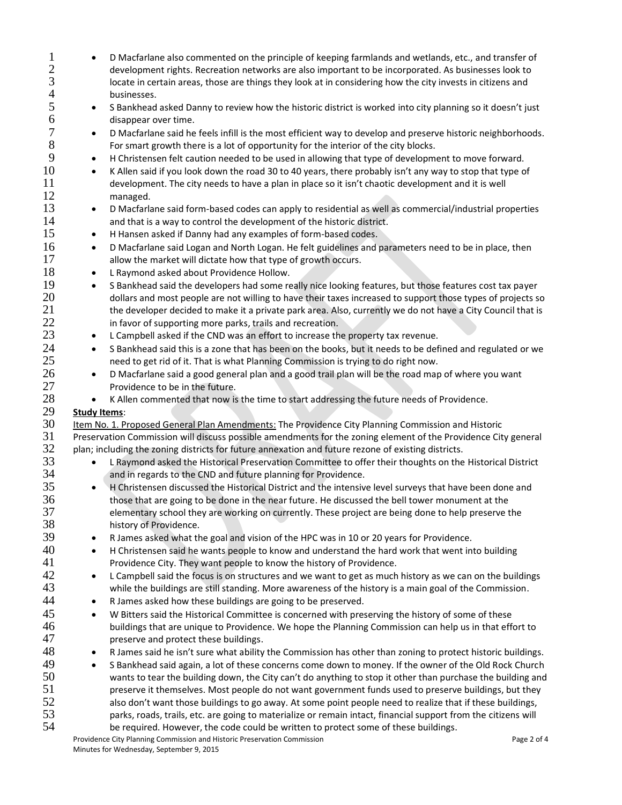| $\mathbf{1}$   |                     | D Macfarlane also commented on the principle of keeping farmlands and wetlands, etc., and transfer of          |  |  |  |
|----------------|---------------------|----------------------------------------------------------------------------------------------------------------|--|--|--|
| $\mathfrak{2}$ |                     | development rights. Recreation networks are also important to be incorporated. As businesses look to           |  |  |  |
| 3              |                     | locate in certain areas, those are things they look at in considering how the city invests in citizens and     |  |  |  |
| $\overline{4}$ |                     | businesses.                                                                                                    |  |  |  |
| 5              | $\bullet$           | S Bankhead asked Danny to review how the historic district is worked into city planning so it doesn't just     |  |  |  |
| 6              |                     | disappear over time.                                                                                           |  |  |  |
| 7              | $\bullet$           | D Macfarlane said he feels infill is the most efficient way to develop and preserve historic neighborhoods.    |  |  |  |
| 8              |                     | For smart growth there is a lot of opportunity for the interior of the city blocks.                            |  |  |  |
| 9              | $\bullet$           | H Christensen felt caution needed to be used in allowing that type of development to move forward.             |  |  |  |
| 10             | $\bullet$           | K Allen said if you look down the road 30 to 40 years, there probably isn't any way to stop that type of       |  |  |  |
| 11             |                     | development. The city needs to have a plan in place so it isn't chaotic development and it is well             |  |  |  |
| 12             |                     | managed.                                                                                                       |  |  |  |
| 13             | $\bullet$           | D Macfarlane said form-based codes can apply to residential as well as commercial/industrial properties        |  |  |  |
| 14             |                     | and that is a way to control the development of the historic district.                                         |  |  |  |
| 15             | $\bullet$           | H Hansen asked if Danny had any examples of form-based codes.                                                  |  |  |  |
| 16             | $\bullet$           | D Macfarlane said Logan and North Logan. He felt guidelines and parameters need to be in place, then           |  |  |  |
| 17             |                     | allow the market will dictate how that type of growth occurs.                                                  |  |  |  |
| 18             | $\bullet$           | L Raymond asked about Providence Hollow.                                                                       |  |  |  |
| 19             | $\bullet$           | S Bankhead said the developers had some really nice looking features, but those features cost tax payer        |  |  |  |
| 20             |                     | dollars and most people are not willing to have their taxes increased to support those types of projects so    |  |  |  |
| 21             |                     | the developer decided to make it a private park area. Also, currently we do not have a City Council that is    |  |  |  |
| 22             |                     | in favor of supporting more parks, trails and recreation.                                                      |  |  |  |
| 23             | $\bullet$           | L Campbell asked if the CND was an effort to increase the property tax revenue.                                |  |  |  |
| 24             | $\bullet$           | S Bankhead said this is a zone that has been on the books, but it needs to be defined and regulated or we      |  |  |  |
| 25             |                     | need to get rid of it. That is what Planning Commission is trying to do right now.                             |  |  |  |
| 26             | $\bullet$           | D Macfarlane said a good general plan and a good trail plan will be the road map of where you want             |  |  |  |
| 27             |                     | Providence to be in the future.                                                                                |  |  |  |
| 28             | $\bullet$           | K Allen commented that now is the time to start addressing the future needs of Providence.                     |  |  |  |
| 29             | <b>Study Items:</b> |                                                                                                                |  |  |  |
| 30             |                     | Item No. 1. Proposed General Plan Amendments: The Providence City Planning Commission and Historic             |  |  |  |
| 31             |                     | Preservation Commission will discuss possible amendments for the zoning element of the Providence City general |  |  |  |
| 32             |                     | plan; including the zoning districts for future annexation and future rezone of existing districts.            |  |  |  |
| 33             |                     | L Raymond asked the Historical Preservation Committee to offer their thoughts on the Historical District       |  |  |  |
| 34             |                     | and in regards to the CND and future planning for Providence.                                                  |  |  |  |
| 35             | $\bullet$           | H Christensen discussed the Historical District and the intensive level surveys that have been done and        |  |  |  |
| 36             |                     | those that are going to be done in the near future. He discussed the bell tower monument at the                |  |  |  |
| 37             |                     | elementary school they are working on currently. These project are being done to help preserve the             |  |  |  |
| 38             |                     | history of Providence.                                                                                         |  |  |  |
| 39             | $\bullet$           | R James asked what the goal and vision of the HPC was in 10 or 20 years for Providence.                        |  |  |  |
| 40             | $\bullet$           | H Christensen said he wants people to know and understand the hard work that went into building                |  |  |  |
| 41             |                     | Providence City. They want people to know the history of Providence.                                           |  |  |  |
| 42             | $\bullet$           | L Campbell said the focus is on structures and we want to get as much history as we can on the buildings       |  |  |  |
| 43             |                     | while the buildings are still standing. More awareness of the history is a main goal of the Commission.        |  |  |  |
| 44             | $\bullet$           | R James asked how these buildings are going to be preserved.                                                   |  |  |  |
| 45             | $\bullet$           | W Bitters said the Historical Committee is concerned with preserving the history of some of these              |  |  |  |
| 46             |                     | buildings that are unique to Providence. We hope the Planning Commission can help us in that effort to         |  |  |  |
| 47             |                     | preserve and protect these buildings.                                                                          |  |  |  |
| 48             | $\bullet$           | R James said he isn't sure what ability the Commission has other than zoning to protect historic buildings.    |  |  |  |
| 49             | $\bullet$           | S Bankhead said again, a lot of these concerns come down to money. If the owner of the Old Rock Church         |  |  |  |
| 50             |                     | wants to tear the building down, the City can't do anything to stop it other than purchase the building and    |  |  |  |
| 51             |                     | preserve it themselves. Most people do not want government funds used to preserve buildings, but they          |  |  |  |
| 52             |                     | also don't want those buildings to go away. At some point people need to realize that if these buildings,      |  |  |  |
| 53             |                     | parks, roads, trails, etc. are going to materialize or remain intact, financial support from the citizens will |  |  |  |
| 54             |                     | be required. However, the code could be written to protect some of these buildings.                            |  |  |  |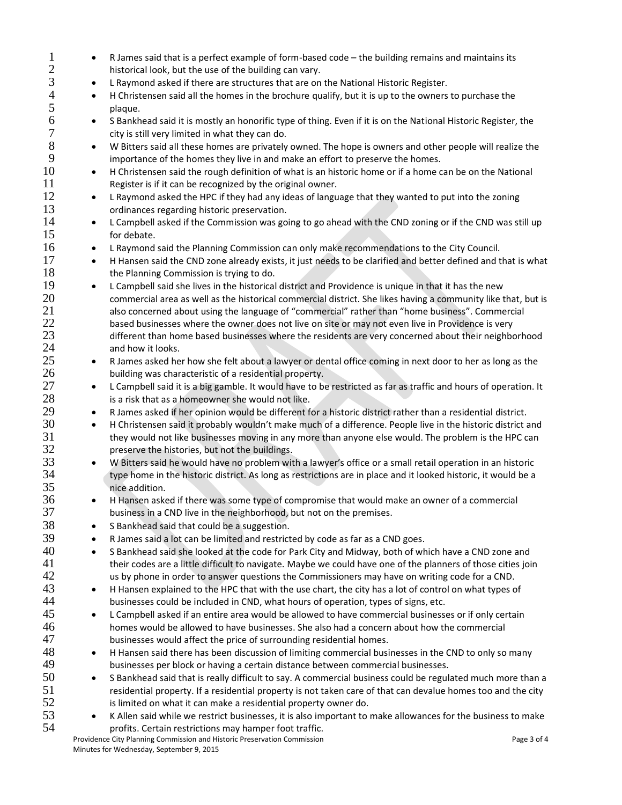Providence City Planning Commission and Historic Preservation Commission **Page 3 of 4** Page 3 of 4 Minutes for Wednesday, September 9, 2015 2 historical look, but the use of the building can vary.<br>3 **e** L Raymond asked if there are structures that are on 3 **L Raymond asked if there are structures that are on the National Historic Register.**<br>4 **H** Christensen said all the homes in the brochure qualify, but it is up to the owners 4 • H Christensen said all the homes in the brochure qualify, but it is up to the owners to purchase the plaque. plaque. 6 S Bankhead said it is mostly an honorific type of thing. Even if it is on the National Historic Register, the 7 city is still very limited in what they can do. 8 W Bitters said all these homes are privately owned. The hope is owners and other people will realize the 9 importance of the homes they live in and make an effort to preserve the homes. 10 • H Christensen said the rough definition of what is an historic home or if a home can be on the National 11 Register is if it can be recognized by the original owner. 12 • L Raymond asked the HPC if they had any ideas of language that they wanted to put into the zoning 13 ordinances regarding historic preservation. 14 • L Campbell asked if the Commission was going to go ahead with the CND zoning or if the CND was still up 15 for debate. 16 **••** L Raymond said the Planning Commission can only make recommendations to the City Council. 17 • H Hansen said the CND zone already exists, it just needs to be clarified and better defined and that is what 18 the Planning Commission is trying to do. 19 • L Campbell said she lives in the historical district and Providence is unique in that it has the new 20 commercial area as well as the historical commercial district. She likes having a community like that, but is 21 also concerned about using the language of "commercial" rather than "home business". Commercial 22 based businesses where the owner does not live on site or may not even live in Providence is very<br>23 different than home based businesses where the residents are very concerned about their neighbor 23 different than home based businesses where the residents are very concerned about their neighborhood 24 and how it looks. and how it looks. 25 **••** R James asked her how she felt about a lawyer or dental office coming in next door to her as long as the 26 building was characteristic of a residential property. 27 **•** L Campbell said it is a big gamble. It would have to be restricted as far as traffic and hours of operation. It 28 is a risk that as a homeowner she would not like. 29 • R James asked if her opinion would be different for a historic district rather than a residential district. **30** • H Christensen said it probably wouldn't make much of a difference. People live in the historic district and<br>31 **heaving** they would not like businesses moving in any more than anyone else would. The problem is the H they would not like businesses moving in any more than anyone else would. The problem is the HPC can 32 preserve the histories, but not the buildings. 33 We W Bitters said he would have no problem with a lawyer's office or a small retail operation in an historic 34 type home in the historic district. As long as restrictions are in place and it looked historic, it would be a<br>35 nice addition. nice addition. 36 H Hansen asked if there was some type of compromise that would make an owner of a commercial 37 business in a CND live in the neighborhood, but not on the premises. 38 • S Bankhead said that could be a suggestion. 39 • R James said a lot can be limited and restricted by code as far as a CND goes. 40 • S Bankhead said she looked at the code for Park City and Midway, both of which have a CND zone and 41 their codes are a little difficult to navigate. Maybe we could have one of the planners of those cities join<br>42 us by phone in order to answer questions the Commissioners may have on writing code for a CND. us by phone in order to answer questions the Commissioners may have on writing code for a CND. 43 **•** H Hansen explained to the HPC that with the use chart, the city has a lot of control on what types of 44 businesses could be included in CND, what hours of operation, types of signs, etc. 45 • L Campbell asked if an entire area would be allowed to have commercial businesses or if only certain 46 homes would be allowed to have businesses. She also had a concern about how the commercial 47 businesses would affect the price of surrounding residential homes. 48 **••** H Hansen said there has been discussion of limiting commercial businesses in the CND to only so many 49 businesses per block or having a certain distance between commercial businesses. 50 S Bankhead said that is really difficult to say. A commercial business could be regulated much more than a 51 residential property. If a residential property is not taken care of that can devalue homes too and the city  $52$  is limited on what it can make a residential property owner do.  $53$   $\bullet$  K Allen said while we restrict businesses, it is also important to make allowances for the business to make 54 profits. Certain restrictions may hamper foot traffic.

1 • R James said that is a perfect example of form-based code – the building remains and maintains its<br>2 historical look, but the use of the building can vary.